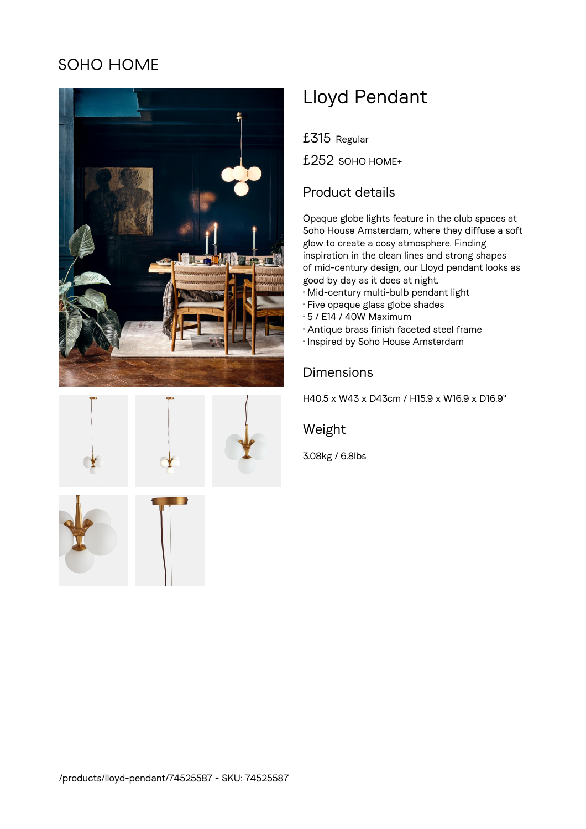## SOHO HOME





# Lloyd Pendant

£315 Regular

£252 SOHO HOME+

#### Product details

Opaque globe lights feature in the club spaces at Soho House Amsterdam, where they diffuse a soft glow to create a cosy atmosphere. Finding inspiration in the clean lines and strong shapes of mid-century design, our Lloyd pendant looks as good by day as it does at night.

- Mid-century multi-bulb pendant light
- Five opaque glass globe shades
- 5 / E14 / 40W Maximum
- Antique brass finish faceted steel frame
- Inspired by Soho House Amsterdam

### Dimensions

H40.5 x W43 x D43cm / H15.9 x W16.9 x D16.9"

#### Weight

3.08kg / 6.8lbs